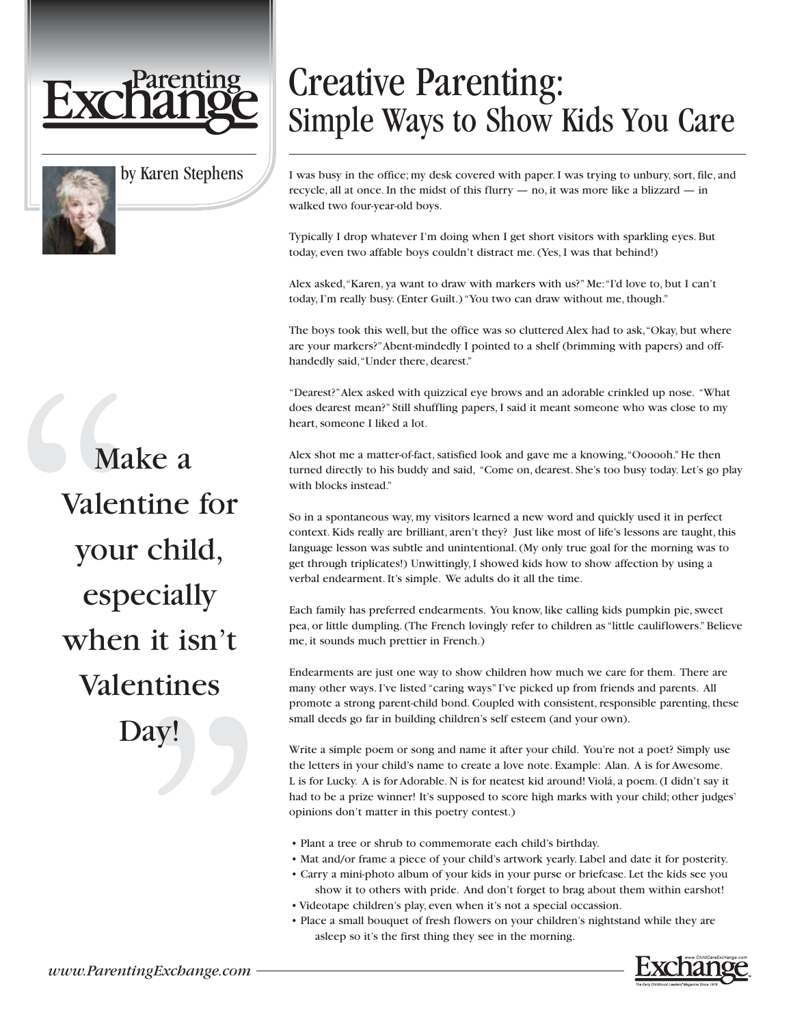



## by Karen Stephens

Make a Valentine for your child, especially when it isn't Valentines Day!

## Creative Parenting: Simple Ways to Show Kids You Care

I was busy in the office; my desk covered with paper. I was trying to unbury, sort, file, and recycle, all at once. In the midst of this flurry — no, it was more like a blizzard — in walked two four-year-old boys.

Typically I drop whatever I'm doing when I get short visitors with sparkling eyes. But today, even two affable boys couldn't distract me. (Yes, I was that behind!)

Alex asked,"Karen, ya want to draw with markers with us?" Me:"I'd love to, but I can't today, I'm really busy. (Enter Guilt.) "You two can draw without me, though."

The boys took this well, but the office was so cluttered Alex had to ask,"Okay, but where are your markers?"Abent-mindedly I pointed to a shelf (brimming with papers) and offhandedly said,"Under there, dearest."

"Dearest?"Alex asked with quizzical eye brows and an adorable crinkled up nose. "What does dearest mean?" Still shuffling papers, I said it meant someone who was close to my heart, someone I liked a lot.

Alex shot me a matter-of-fact, satisfied look and gave me a knowing,"Oooooh." He then turned directly to his buddy and said, "Come on, dearest. She's too busy today. Let's go play with blocks instead."

So in a spontaneous way, my visitors learned a new word and quickly used it in perfect context. Kids really are brilliant, aren't they? Just like most of life's lessons are taught, this language lesson was subtle and unintentional. (My only true goal for the morning was to get through triplicates!) Unwittingly, I showed kids how to show affection by using a verbal endearment. It's simple. We adults do it all the time.

Each family has preferred endearments. You know, like calling kids pumpkin pie, sweet pea, or little dumpling. (The French lovingly refer to children as "little cauliflowers." Believe me, it sounds much prettier in French.)

Endearments are just one way to show children how much we care for them. There are many other ways. I've listed "caring ways" I've picked up from friends and parents. All promote a strong parent-child bond. Coupled with consistent, responsible parenting, these small deeds go far in building children's self esteem (and your own).

Write a simple poem or song and name it after your child. You're not a poet? Simply use the letters in your child's name to create a love note. Example: Alan. A is for Awesome. L is for Lucky. A is for Adorable. N is for neatest kid around! Violá, a poem. (I didn't say it had to be a prize winner! It's supposed to score high marks with your child; other judges' opinions don't matter in this poetry contest.)

- Plant a tree or shrub to commemorate each child's birthday.
- Mat and/or frame a piece of your child's artwork yearly. Label and date it for posterity.
- Carry a mini-photo album of your kids in your purse or briefcase. Let the kids see you show it to others with pride. And don't forget to brag about them within earshot!
- Videotape children's play, even when it's not a special occassion.
- Place a small bouquet of fresh flowers on your children's nightstand while they are asleep so it's the first thing they see in the morning.